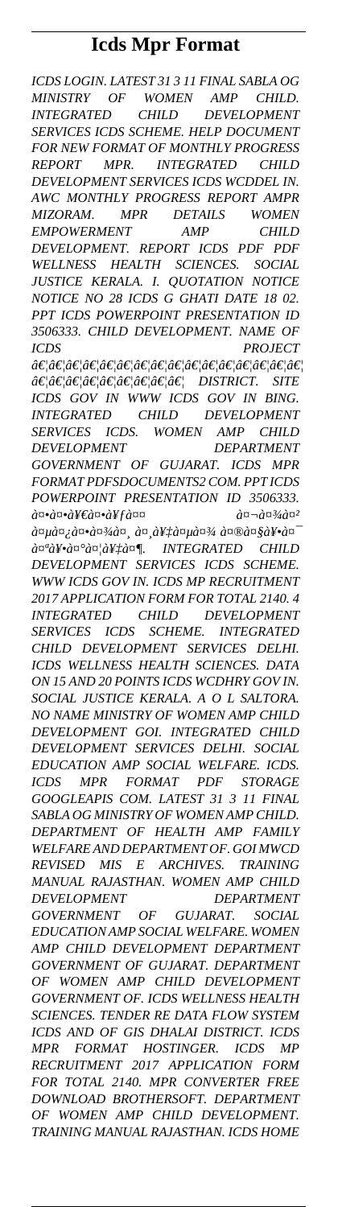# **Icds Mpr Format**

*ICDS LOGIN. LATEST 31 3 11 FINAL SABLA OG MINISTRY OF WOMEN AMP CHILD. INTEGRATED CHILD DEVELOPMENT SERVICES ICDS SCHEME. HELP DOCUMENT FOR NEW FORMAT OF MONTHLY PROGRESS REPORT MPR. INTEGRATED CHILD DEVELOPMENT SERVICES ICDS WCDDEL IN. AWC MONTHLY PROGRESS REPORT AMPR MIZORAM. MPR DETAILS WOMEN EMPOWERMENT AMP CHILD DEVELOPMENT. REPORT ICDS PDF PDF WELLNESS HEALTH SCIENCES. SOCIAL JUSTICE KERALA. I. QUOTATION NOTICE NOTICE NO 28 ICDS G GHATI DATE 18 02. PPT ICDS POWERPOINT PRESENTATION ID 3506333. CHILD DEVELOPMENT. NAME OF ICDS PROJECT …………………………………………* …………………… DISTRICT. SITE *ICDS GOV IN WWW ICDS GOV IN BING. INTEGRATED CHILD DEVELOPMENT SERVICES ICDS. WOMEN AMP CHILD DEVELOPMENT DEPARTMENT GOVERNMENT OF GUJARAT. ICDS MPR FORMAT PDFSDOCUMENTS2 COM. PPT ICDS POWERPOINT PRESENTATION ID 3506333.*  $\partial \alpha$ *a* $\alpha$  $\partial \psi$ *a* $\partial \psi$ *a* $\partial \psi$ *a* $\alpha$ *a* $\partial \psi$ *a* $\partial \psi$ *a* $\partial \psi$ *a* $\partial \psi$ *a* $\partial \psi$ *a* $\partial \psi$ *a* $\partial \psi$ *a* $\partial \psi$ *a* $\partial \psi$ *a à¤μिकाससेà¤μा मधॕà¤*  $\partial \alpha^a \partial \Psi \cdot \partial \alpha^c \partial \alpha / \partial \Psi^{\dagger}_a \partial \alpha^{\dagger}$ . INTEGRATED CHILD *DEVELOPMENT SERVICES ICDS SCHEME. WWW ICDS GOV IN. ICDS MP RECRUITMENT 2017 APPLICATION FORM FOR TOTAL 2140. 4 INTEGRATED CHILD DEVELOPMENT SERVICES ICDS SCHEME. INTEGRATED CHILD DEVELOPMENT SERVICES DELHI. ICDS WELLNESS HEALTH SCIENCES. DATA ON 15 AND 20 POINTS ICDS WCDHRY GOV IN. SOCIAL JUSTICE KERALA. A O L SALTORA. NO NAME MINISTRY OF WOMEN AMP CHILD DEVELOPMENT GOI. INTEGRATED CHILD DEVELOPMENT SERVICES DELHI. SOCIAL EDUCATION AMP SOCIAL WELFARE. ICDS. ICDS MPR FORMAT PDF STORAGE GOOGLEAPIS COM. LATEST 31 3 11 FINAL SABLA OG MINISTRY OF WOMEN AMP CHILD. DEPARTMENT OF HEALTH AMP FAMILY WELFARE AND DEPARTMENT OF. GOI MWCD REVISED MIS E ARCHIVES. TRAINING MANUAL RAJASTHAN. WOMEN AMP CHILD DEVELOPMENT DEPARTMENT GOVERNMENT OF GUJARAT. SOCIAL EDUCATION AMP SOCIAL WELFARE. WOMEN AMP CHILD DEVELOPMENT DEPARTMENT GOVERNMENT OF GUJARAT. DEPARTMENT OF WOMEN AMP CHILD DEVELOPMENT GOVERNMENT OF. ICDS WELLNESS HEALTH SCIENCES. TENDER RE DATA FLOW SYSTEM ICDS AND OF GIS DHALAI DISTRICT. ICDS MPR FORMAT HOSTINGER. ICDS MP RECRUITMENT 2017 APPLICATION FORM FOR TOTAL 2140. MPR CONVERTER FREE DOWNLOAD BROTHERSOFT. DEPARTMENT OF WOMEN AMP CHILD DEVELOPMENT. TRAINING MANUAL RAJASTHAN. ICDS HOME*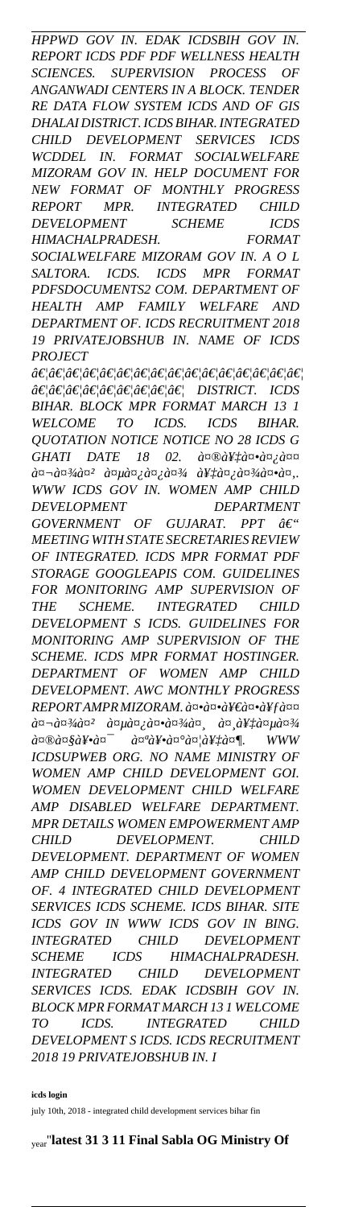*HPPWD GOV IN. EDAK ICDSBIH GOV IN. REPORT ICDS PDF PDF WELLNESS HEALTH SCIENCES. SUPERVISION PROCESS OF ANGANWADI CENTERS IN A BLOCK. TENDER RE DATA FLOW SYSTEM ICDS AND OF GIS DHALAI DISTRICT. ICDS BIHAR. INTEGRATED CHILD DEVELOPMENT SERVICES ICDS WCDDEL IN. FORMAT SOCIALWELFARE MIZORAM GOV IN. HELP DOCUMENT FOR NEW FORMAT OF MONTHLY PROGRESS REPORT MPR. INTEGRATED CHILD DEVELOPMENT SCHEME ICDS HIMACHALPRADESH. FORMAT SOCIALWELFARE MIZORAM GOV IN. A O L*

*SALTORA. ICDS. ICDS MPR FORMAT PDFSDOCUMENTS2 COM. DEPARTMENT OF HEALTH AMP FAMILY WELFARE AND DEPARTMENT OF. ICDS RECRUITMENT 2018 19 PRIVATEJOBSHUB IN. NAME OF ICDS PROJECT*

*…………………………………………* …………………… DISTRICT. ICDS *BIHAR. BLOCK MPR FORMAT MARCH 13 1 WELCOME TO ICDS. ICDS BIHAR. QUOTATION NOTICE NOTICE NO 28 ICDS G GHATI DATE 18 02. a¤®a¥‡a¤•a¤;a¤¤*  $\partial \mathfrak{a} \neg \partial \mathfrak{a}^{3}$ *a* $\partial \mathfrak{a}^{2}$   $\partial \mathfrak{a} \mu \partial \mathfrak{a}$ <sub>*i*</sub>  $\partial \mathfrak{a}$ <sub>*i*</sub>  $\partial \mathfrak{a}^{3}$ *i*  $\partial \mathfrak{a}^{1}$ *i*  $\partial \mathfrak{a}^{3}$ *i*  $\partial \mathfrak{a}$ **·***a* $\mathfrak{a}$ *n*<sub>*i*</sub>. *WWW ICDS GOV IN. WOMEN AMP CHILD DEVELOPMENT DEPARTMENT*

*GOVERNMENT OF GUJARAT. PPT – MEETING WITH STATE SECRETARIES REVIEW OF INTEGRATED. ICDS MPR FORMAT PDF STORAGE GOOGLEAPIS COM. GUIDELINES FOR MONITORING AMP SUPERVISION OF THE SCHEME. INTEGRATED CHILD DEVELOPMENT S ICDS. GUIDELINES FOR MONITORING AMP SUPERVISION OF THE SCHEME. ICDS MPR FORMAT HOSTINGER. DEPARTMENT OF WOMEN AMP CHILD DEVELOPMENT. AWC MONTHLY PROGRESS REPORT AMPR MIZORAM. an. an. 200* metal and AFfanger  $\partial \alpha = \partial \alpha^{3}/\partial \alpha^{2}$   $\partial \alpha \mu \partial \alpha^{1}/\partial \alpha^{3}/\partial \alpha^{1}$   $\partial \alpha^{1}/\partial \alpha^{2}/\partial \alpha^{3}/\partial \alpha^{3}$  $\partial \alpha \mathbb{E} \partial \alpha \mathbb{E} \partial \alpha$   $\mathbb{E} \partial \alpha$   $\partial \alpha \mathbb{E} \partial \alpha$   $\partial \alpha \mathbb{E} \partial \alpha$   $\partial \alpha \mathbb{E} \partial \alpha$   $\mathbb{E} \partial \alpha$  www *ICDSUPWEB ORG. NO NAME MINISTRY OF WOMEN AMP CHILD DEVELOPMENT GOI. WOMEN DEVELOPMENT CHILD WELFARE AMP DISABLED WELFARE DEPARTMENT. MPR DETAILS WOMEN EMPOWERMENT AMP CHILD DEVELOPMENT. CHILD DEVELOPMENT. DEPARTMENT OF WOMEN AMP CHILD DEVELOPMENT GOVERNMENT OF. 4 INTEGRATED CHILD DEVELOPMENT SERVICES ICDS SCHEME. ICDS BIHAR. SITE ICDS GOV IN WWW ICDS GOV IN BING. INTEGRATED CHILD DEVELOPMENT SCHEME ICDS HIMACHALPRADESH. INTEGRATED CHILD DEVELOPMENT SERVICES ICDS. EDAK ICDSBIH GOV IN. BLOCK MPR FORMAT MARCH 13 1 WELCOME TO ICDS. INTEGRATED CHILD DEVELOPMENT S ICDS. ICDS RECRUITMENT 2018 19 PRIVATEJOBSHUB IN. I*

**icds login**

july 10th, 2018 - integrated child development services bihar fin

year''**latest 31 3 11 Final Sabla OG Ministry Of**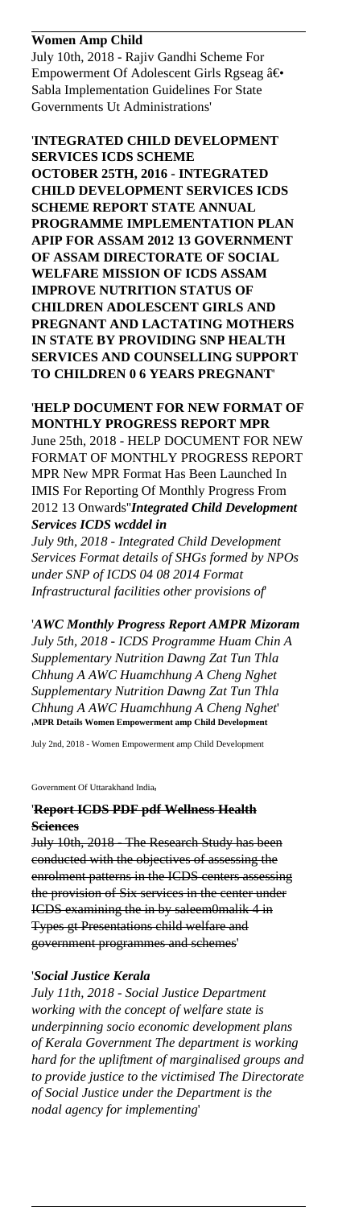## **Women Amp Child**

July 10th, 2018 - Rajiv Gandhi Scheme For Empowerment Of Adolescent Girls Rgseag ― Sabla Implementation Guidelines For State Governments Ut Administrations'

## '**INTEGRATED CHILD DEVELOPMENT SERVICES ICDS SCHEME**

**OCTOBER 25TH, 2016 - INTEGRATED CHILD DEVELOPMENT SERVICES ICDS SCHEME REPORT STATE ANNUAL PROGRAMME IMPLEMENTATION PLAN APIP FOR ASSAM 2012 13 GOVERNMENT OF ASSAM DIRECTORATE OF SOCIAL WELFARE MISSION OF ICDS ASSAM IMPROVE NUTRITION STATUS OF CHILDREN ADOLESCENT GIRLS AND PREGNANT AND LACTATING MOTHERS IN STATE BY PROVIDING SNP HEALTH SERVICES AND COUNSELLING SUPPORT TO CHILDREN 0 6 YEARS PREGNANT**'

## '**HELP DOCUMENT FOR NEW FORMAT OF MONTHLY PROGRESS REPORT MPR** June 25th, 2018 - HELP DOCUMENT FOR NEW FORMAT OF MONTHLY PROGRESS REPORT MPR New MPR Format Has Been Launched In IMIS For Reporting Of Monthly Progress From 2012 13 Onwards''*Integrated Child Development Services ICDS wcddel in*

*July 9th, 2018 - Integrated Child Development Services Format details of SHGs formed by NPOs under SNP of ICDS 04 08 2014 Format Infrastructural facilities other provisions of*'

'*AWC Monthly Progress Report AMPR Mizoram July 5th, 2018 - ICDS Programme Huam Chin A Supplementary Nutrition Dawng Zat Tun Thla Chhung A AWC Huamchhung A Cheng Nghet Supplementary Nutrition Dawng Zat Tun Thla Chhung A AWC Huamchhung A Cheng Nghet*' '**MPR Details Women Empowerment amp Child Development**

July 2nd, 2018 - Women Empowerment amp Child Development

#### Government Of Uttarakhand India,

## '**Report ICDS PDF pdf Wellness Health Sciences**

July 10th, 2018 - The Research Study has been conducted with the objectives of assessing the enrolment patterns in the ICDS centers assessing the provision of Six services in the center under ICDS examining the in by saleem0malik 4 in Types gt Presentations child welfare and government programmes and schemes'

## '*Social Justice Kerala*

*July 11th, 2018 - Social Justice Department working with the concept of welfare state is underpinning socio economic development plans of Kerala Government The department is working hard for the upliftment of marginalised groups and to provide justice to the victimised The Directorate of Social Justice under the Department is the nodal agency for implementing*'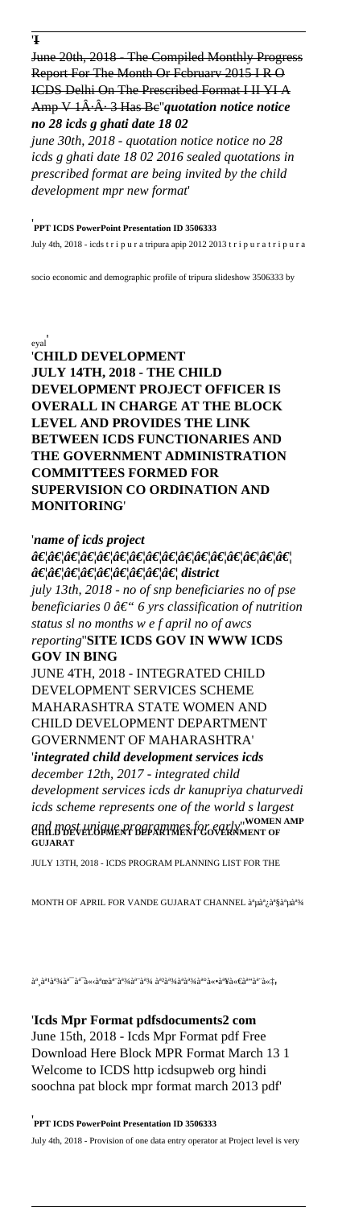June 20th, 2018 - The Compiled Monthly Progress Report For The Month Or Fcbruarv 2015 I R O ICDS Delhi On The Prescribed Format I II YI A Amp V 1A·A· 3 Has Be<sup>"</sup>quotation notice notice *no 28 icds g ghati date 18 02*

*june 30th, 2018 - quotation notice notice no 28 icds g ghati date 18 02 2016 sealed quotations in prescribed format are being invited by the child development mpr new format*'

## '**PPT ICDS PowerPoint Presentation ID 3506333**

July 4th, 2018 - icds t r i p u r a tripura apip 2012 2013 t r i p u r a t r i p u r a

socio economic and demographic profile of tripura slideshow 3506333 by

#### eyal'

'**CHILD DEVELOPMENT JULY 14TH, 2018 - THE CHILD DEVELOPMENT PROJECT OFFICER IS OVERALL IN CHARGE AT THE BLOCK LEVEL AND PROVIDES THE LINK BETWEEN ICDS FUNCTIONARIES AND THE GOVERNMENT ADMINISTRATION COMMITTEES FORMED FOR SUPERVISION CO ORDINATION AND MONITORING**'

#### '*name of icds project*

*…………………………………………* â€*¦â€¦â€¦â€¦â€¦â€¦â€¦â€¦ê€¦ district july 13th, 2018 - no of snp beneficiaries no of pse beneficiaries 0 â€* "6 yrs classification of nutrition *status sl no months w e f april no of awcs reporting*''**SITE ICDS GOV IN WWW ICDS GOV IN BING** JUNE 4TH, 2018 - INTEGRATED CHILD DEVELOPMENT SERVICES SCHEME MAHARASHTRA STATE WOMEN AND CHILD DEVELOPMENT DEPARTMENT GOVERNMENT OF MAHARASHTRA' '*integrated child development services icds december 12th, 2017 - integrated child development services icds dr kanupriya chaturvedi icds scheme represents one of the world s largest and most unique programmes for early*''**WOMEN AMP CHILD DEVELOPMENT DEPARTMENT GOVERNMENT OF GUJARAT**

JULY 13TH, 2018 - ICDS PROGRAM PLANNING LIST FOR THE

MONTH OF APRIL FOR VANDE GUJARAT CHANNEL à<sup>a</sup> μà<sup>a</sup> ¿à<sup>a</sup> §à<sup>a</sup> μà<sup>a3/4</sup>

સહાય યોજનાના લાàªàª¾àª°à«•થીઓને'

'**Icds Mpr Format pdfsdocuments2 com** June 15th, 2018 - Icds Mpr Format pdf Free Download Here Block MPR Format March 13 1 Welcome to ICDS http icdsupweb org hindi soochna pat block mpr format march 2013 pdf'

### '**PPT ICDS PowerPoint Presentation ID 3506333**

July 4th, 2018 - Provision of one data entry operator at Project level is very

'**I**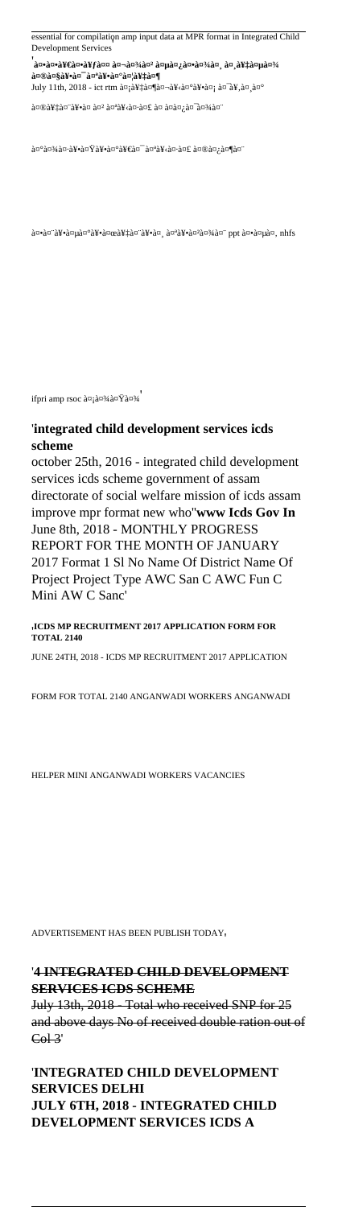essential for compilation amp input data at MPR format in Integrated Child Development Services'

'<br>'ककीकà¥fत बाल विकास सेवा a¤®a¤§a¥•a¤<sup>–</sup>a¤ªa¥•a¤°a¤¦a¥‡a¤¶

July 11th, 2018 - ict rtm डेशबोरॕड यूसर

मेनॕठप पोषण ठà¤à¤¿à¤¯à¤¾à¤¨

 $\partial \alpha^{\alpha}$  an  $\partial \alpha^{\beta}$  and  $\partial \alpha^{\gamma}$  and  $\partial \alpha^{\gamma}$  and  $\partial \alpha^{\gamma}$  and  $\partial \alpha^{\gamma}$  and  $\partial \alpha^{\gamma}$  and  $\partial \alpha^{\gamma}$ 

 $a^2$ केन अस्थिय $\alpha$ े $\gamma$ केन $\alpha$ केन $\gamma$ केन के $\gamma$ केन केन $\gamma$ केन $\gamma$ केन केन केन किया  $\alpha$ 

ifpri amp rsoc à¤jाटा

## '**integrated child development services icds scheme**

october 25th, 2016 - integrated child development services icds scheme government of assam directorate of social welfare mission of icds assam improve mpr format new who''**www Icds Gov In** June 8th, 2018 - MONTHLY PROGRESS REPORT FOR THE MONTH OF JANUARY 2017 Format 1 Sl No Name Of District Name Of Project Project Type AWC San C AWC Fun C Mini AW C Sanc'

'**ICDS MP RECRUITMENT 2017 APPLICATION FORM FOR TOTAL 2140**

JUNE 24TH, 2018 - ICDS MP RECRUITMENT 2017 APPLICATION

FORM FOR TOTAL 2140 ANGANWADI WORKERS ANGANWADI

HELPER MINI ANGANWADI WORKERS VACANCIES

ADVERTISEMENT HAS BEEN PUBLISH TODAY'

## '**4 INTEGRATED CHILD DEVELOPMENT SERVICES ICDS SCHEME**

July 13th, 2018 - Total who received SNP for 25 and above days No of received double ration out of  $\overline{\text{Col-3}}$ 

'**INTEGRATED CHILD DEVELOPMENT SERVICES DELHI JULY 6TH, 2018 - INTEGRATED CHILD DEVELOPMENT SERVICES ICDS A**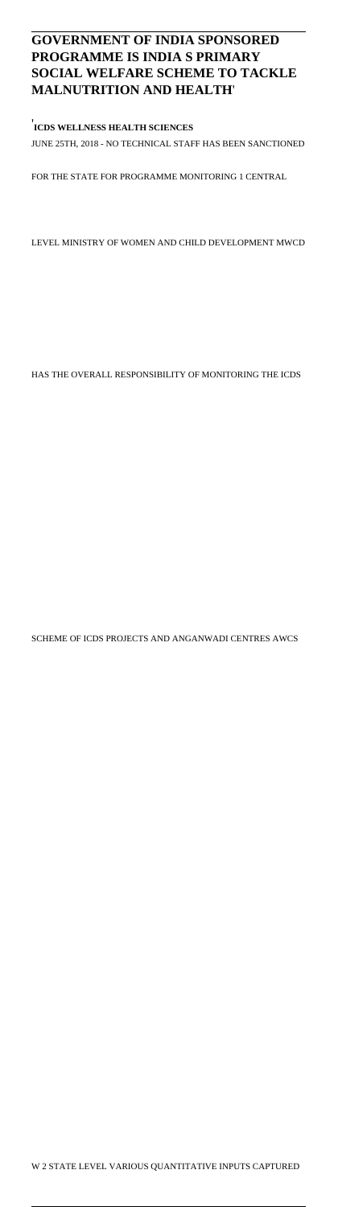## **GOVERNMENT OF INDIA SPONSORED PROGRAMME IS INDIA S PRIMARY SOCIAL WELFARE SCHEME TO TACKLE MALNUTRITION AND HEALTH**'

## ' **ICDS WELLNESS HEALTH SCIENCES** JUNE 25TH, 2018 - NO TECHNICAL STAFF HAS BEEN SANCTIONED

FOR THE STATE FOR PROGRAMME MONITORING 1 CENTRAL

LEVEL MINISTRY OF WOMEN AND CHILD DEVELOPMENT MWCD

HAS THE OVERALL RESPONSIBILITY OF MONITORING THE ICDS

SCHEME OF ICDS PROJECTS AND ANGANWADI CENTRES AWCS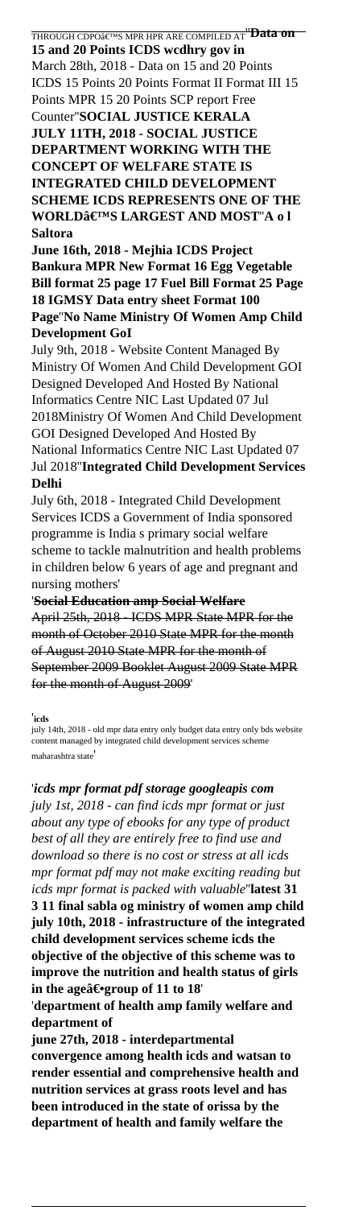THROUGH CDPO'S MPR HPR ARE COMPILED AT''**Data on 15 and 20 Points ICDS wcdhry gov in** March 28th, 2018 - Data on 15 and 20 Points ICDS 15 Points 20 Points Format II Format III 15 Points MPR 15 20 Points SCP report Free Counter''**SOCIAL JUSTICE KERALA JULY 11TH, 2018 - SOCIAL JUSTICE DEPARTMENT WORKING WITH THE CONCEPT OF WELFARE STATE IS INTEGRATED CHILD DEVELOPMENT SCHEME ICDS REPRESENTS ONE OF THE WORLD'S LARGEST AND MOST'A o l Saltora**

**June 16th, 2018 - Mejhia ICDS Project Bankura MPR New Format 16 Egg Vegetable Bill format 25 page 17 Fuel Bill Format 25 Page 18 IGMSY Data entry sheet Format 100 Page**''**No Name Ministry Of Women Amp Child Development GoI**

July 9th, 2018 - Website Content Managed By Ministry Of Women And Child Development GOI Designed Developed And Hosted By National Informatics Centre NIC Last Updated 07 Jul 2018Ministry Of Women And Child Development GOI Designed Developed And Hosted By National Informatics Centre NIC Last Updated 07 Jul 2018''**Integrated Child Development Services Delhi**

July 6th, 2018 - Integrated Child Development Services ICDS a Government of India sponsored programme is India s primary social welfare scheme to tackle malnutrition and health problems in children below 6 years of age and pregnant and nursing mothers'

'**Social Education amp Social Welfare** April 25th, 2018 - ICDS MPR State MPR for the month of October 2010 State MPR for the month of August 2010 State MPR for the month of September 2009 Booklet August 2009 State MPR for the month of August 2009'

#### '**icds**

july 14th, 2018 - old mpr data entry only budget data entry only bds website content managed by integrated child development services scheme maharashtra state'

'*icds mpr format pdf storage googleapis com july 1st, 2018 - can find icds mpr format or just about any type of ebooks for any type of product best of all they are entirely free to find use and download so there is no cost or stress at all icds mpr format pdf may not make exciting reading but icds mpr format is packed with valuable*''**latest 31 3 11 final sabla og ministry of women amp child july 10th, 2018 - infrastructure of the integrated child development services scheme icds the objective of the objective of this scheme was to improve the nutrition and health status of girls** in the age―group of 11 to 18

'**department of health amp family welfare and department of**

**june 27th, 2018 - interdepartmental convergence among health icds and watsan to render essential and comprehensive health and nutrition services at grass roots level and has been introduced in the state of orissa by the department of health and family welfare the**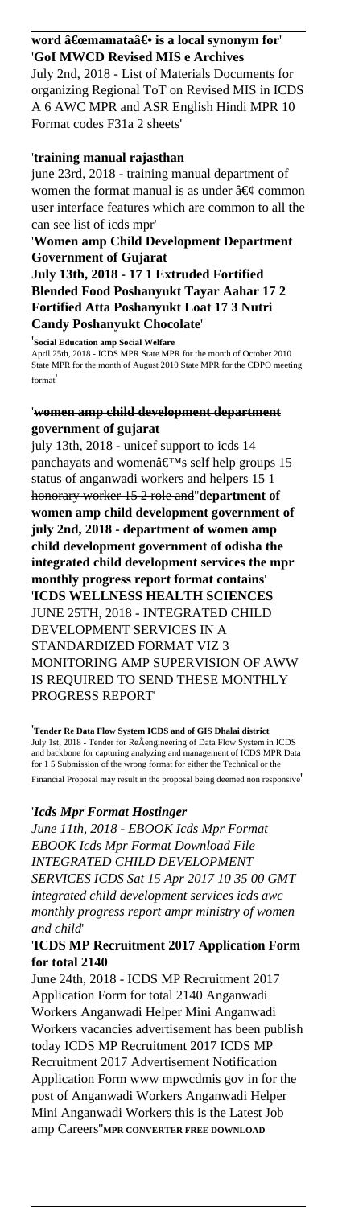## word "mamata― is a local synonym for '**GoI MWCD Revised MIS e Archives**

July 2nd, 2018 - List of Materials Documents for organizing Regional ToT on Revised MIS in ICDS A 6 AWC MPR and ASR English Hindi MPR 10 Format codes F31a 2 sheets'

## '**training manual rajasthan**

june 23rd, 2018 - training manual department of women the format manual is as under  $\hat{a} \in \emptyset$  common user interface features which are common to all the can see list of icds mpr'

## '**Women amp Child Development Department Government of Gujarat**

**July 13th, 2018 - 17 1 Extruded Fortified Blended Food Poshanyukt Tayar Aahar 17 2 Fortified Atta Poshanyukt Loat 17 3 Nutri Candy Poshanyukt Chocolate**'

'**Social Education amp Social Welfare** April 25th, 2018 - ICDS MPR State MPR for the month of October 2010 State MPR for the month of August 2010 State MPR for the CDPO meeting format'

## '**women amp child development department government of gujarat**

july 13th, 2018 - unicef support to icds 14 panchayats and women $\hat{a} \in T M_S$  self help groups 15 status of anganwadi workers and helpers 15 1 honorary worker 15 2 role and''**department of women amp child development government of july 2nd, 2018 - department of women amp child development government of odisha the integrated child development services the mpr monthly progress report format contains**' '**ICDS WELLNESS HEALTH SCIENCES** JUNE 25TH, 2018 - INTEGRATED CHILD DEVELOPMENT SERVICES IN A STANDARDIZED FORMAT VIZ 3 MONITORING AMP SUPERVISION OF AWW IS REQUIRED TO SEND THESE MONTHLY PROGRESS REPORT'

'**Tender Re Data Flow System ICDS and of GIS Dhalai district** July 1st, 2018 - Tender for ReÂengineering of Data Flow System in ICDS and backbone for capturing analyzing and management of ICDS MPR Data for 1 5 Submission of the wrong format for either the Technical or the Financial Proposal may result in the proposal being deemed non responsive'

## '*Icds Mpr Format Hostinger*

*June 11th, 2018 - EBOOK Icds Mpr Format EBOOK Icds Mpr Format Download File INTEGRATED CHILD DEVELOPMENT SERVICES ICDS Sat 15 Apr 2017 10 35 00 GMT integrated child development services icds awc monthly progress report ampr ministry of women and child*'

## '**ICDS MP Recruitment 2017 Application Form for total 2140**

June 24th, 2018 - ICDS MP Recruitment 2017 Application Form for total 2140 Anganwadi Workers Anganwadi Helper Mini Anganwadi Workers vacancies advertisement has been publish today ICDS MP Recruitment 2017 ICDS MP Recruitment 2017 Advertisement Notification Application Form www mpwcdmis gov in for the post of Anganwadi Workers Anganwadi Helper Mini Anganwadi Workers this is the Latest Job amp Careers''**MPR CONVERTER FREE DOWNLOAD**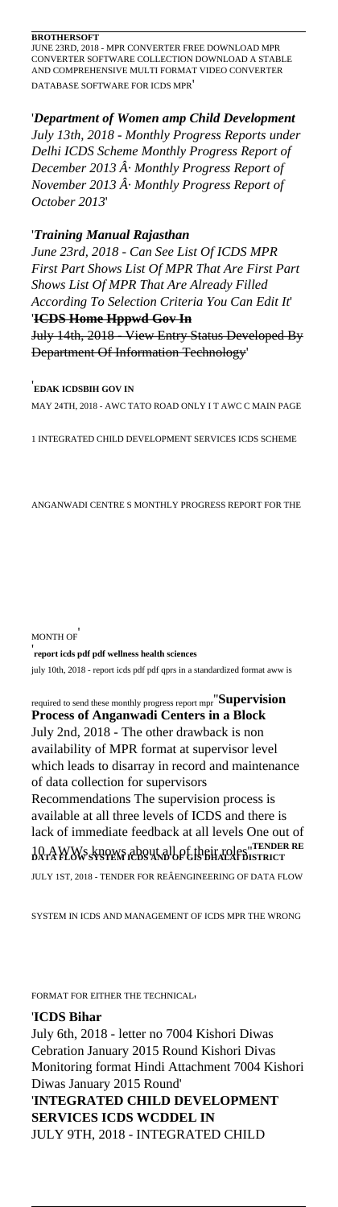#### **BROTHERSOFT**

JUNE 23RD, 2018 - MPR CONVERTER FREE DOWNLOAD MPR CONVERTER SOFTWARE COLLECTION DOWNLOAD A STABLE AND COMPREHENSIVE MULTI FORMAT VIDEO CONVERTER DATABASE SOFTWARE FOR ICDS MPR'

'*Department of Women amp Child Development July 13th, 2018 - Monthly Progress Reports under Delhi ICDS Scheme Monthly Progress Report of December 2013 A. Monthly Progress Report of November 2013 · Monthly Progress Report of October 2013*'

#### '*Training Manual Rajasthan*

*June 23rd, 2018 - Can See List Of ICDS MPR First Part Shows List Of MPR That Are First Part Shows List Of MPR That Are Already Filled According To Selection Criteria You Can Edit It*' '**ICDS Home Hppwd Gov In**

July 14th, 2018 - View Entry Status Developed By Department Of Information Technology'

'**EDAK ICDSBIH GOV IN**

MAY 24TH, 2018 - AWC TATO ROAD ONLY I T AWC C MAIN PAGE

1 INTEGRATED CHILD DEVELOPMENT SERVICES ICDS SCHEME

ANGANWADI CENTRE S MONTHLY PROGRESS REPORT FOR THE

#### MONTH OF'

#### '**report icds pdf pdf wellness health sciences**

july 10th, 2018 - report icds pdf pdf qprs in a standardized format aww is

required to send these monthly progress report mpr''**Supervision Process of Anganwadi Centers in a Block** July 2nd, 2018 - The other drawback is non availability of MPR format at supervisor level which leads to disarray in record and maintenance of data collection for supervisors Recommendations The supervision process is available at all three levels of ICDS and there is lack of immediate feedback at all levels One out of 10 AWWs knows about all of their roles''**TENDER RE DATA FLOW SYSTEM ICDS AND OF GIS DHALAI DISTRICT**

JULY 1ST, 2018 - TENDER FOR REÂENGINEERING OF DATA FLOW

SYSTEM IN ICDS AND MANAGEMENT OF ICDS MPR THE WRONG

FORMAT FOR EITHER THE TECHNICAL'

'**ICDS Bihar** July 6th, 2018 - letter no 7004 Kishori Diwas Cebration January 2015 Round Kishori Divas Monitoring format Hindi Attachment 7004 Kishori Diwas January 2015 Round' '**INTEGRATED CHILD DEVELOPMENT SERVICES ICDS WCDDEL IN** JULY 9TH, 2018 - INTEGRATED CHILD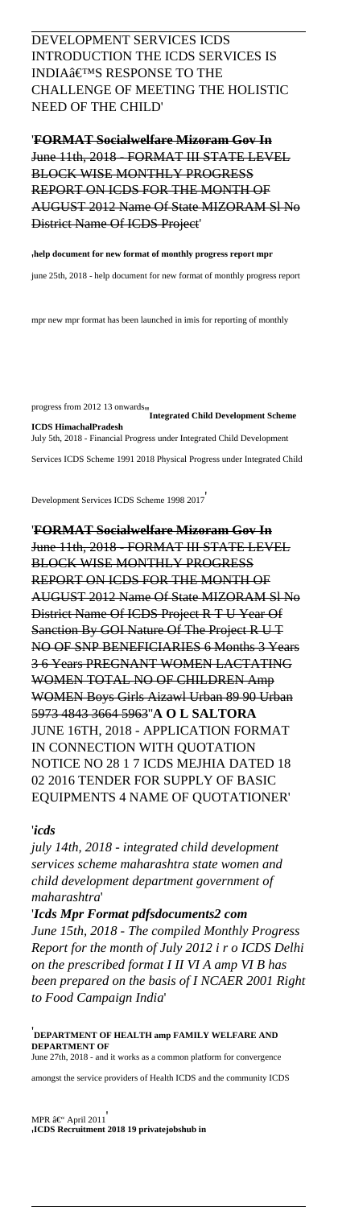DEVELOPMENT SERVICES ICDS INTRODUCTION THE ICDS SERVICES IS INDIA'S RESPONSE TO THE CHALLENGE OF MEETING THE HOLISTIC NEED OF THE CHILD'

'**FORMAT Socialwelfare Mizoram Gov In** June 11th, 2018 - FORMAT III STATE LEVEL BLOCK WISE MONTHLY PROGRESS REPORT ON ICDS FOR THE MONTH OF AUGUST 2012 Name Of State MIZORAM Sl No District Name Of ICDS Project'

'**help document for new format of monthly progress report mpr**

june 25th, 2018 - help document for new format of monthly progress report

mpr new mpr format has been launched in imis for reporting of monthly

progress from 2012 13 onwards''**Integrated Child Development Scheme ICDS HimachalPradesh** July 5th, 2018 - Financial Progress under Integrated Child Development Services ICDS Scheme 1991 2018 Physical Progress under Integrated Child

Development Services ICDS Scheme 1998 2017'

'**FORMAT Socialwelfare Mizoram Gov In** June 11th, 2018 - FORMAT III STATE LEVEL BLOCK WISE MONTHLY PROGRESS REPORT ON ICDS FOR THE MONTH OF AUGUST 2012 Name Of State MIZORAM Sl No District Name Of ICDS Project R T U Year Of Sanction By GOI Nature Of The Project R U T NO OF SNP BENEFICIARIES 6 Months 3 Years 3 6 Years PREGNANT WOMEN LACTATING WOMEN TOTAL NO OF CHILDREN Amp WOMEN Boys Girls Aizawl Urban 89 90 Urban 5973 4843 3664 5963''**A O L SALTORA** JUNE 16TH, 2018 - APPLICATION FORMAT IN CONNECTION WITH QUOTATION NOTICE NO 28 1 7 ICDS MEJHIA DATED 18 02 2016 TENDER FOR SUPPLY OF BASIC EQUIPMENTS 4 NAME OF QUOTATIONER'

#### '*icds*

*july 14th, 2018 - integrated child development services scheme maharashtra state women and child development department government of maharashtra*'

'*Icds Mpr Format pdfsdocuments2 com June 15th, 2018 - The compiled Monthly Progress Report for the month of July 2012 i r o ICDS Delhi on the prescribed format I II VI A amp VI B has been prepared on the basis of I NCAER 2001 Right to Food Campaign India*'

'**DEPARTMENT OF HEALTH amp FAMILY WELFARE AND DEPARTMENT OF** June 27th, 2018 - and it works as a common platform for convergence

amongst the service providers of Health ICDS and the community ICDS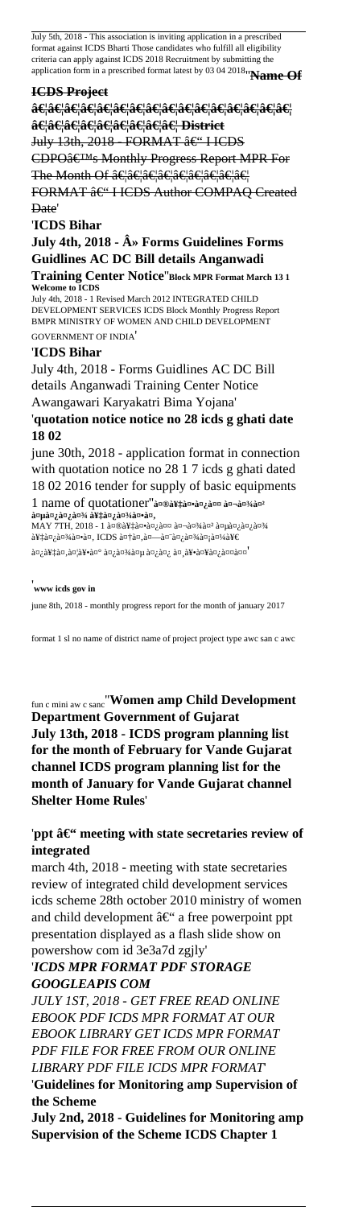July 5th, 2018 - This association is inviting application in a prescribed format against ICDS Bharti Those candidates who fulfill all eligibility criteria can apply against ICDS 2018 Recruitment by submitting the application form in a prescribed format latest by 03 04 2018''**Name Of**

#### **ICDS Project**

**…………………………………………** …………………… District July 13th, 2018 - FORMAT – I ICDS CDPO's Monthly Progress Report MPR For The Month Of ……………………… FORMAT – I ICDS Author COMPAQ Created Date'

#### '**ICDS Bihar**

**July 4th, 2018 - A** Forms Guidelines Forms **Guidlines AC DC Bill details Anganwadi Training Center Notice**''**Block MPR Format March 13 1 Welcome to ICDS**

July 4th, 2018 - 1 Revised March 2012 INTEGRATED CHILD DEVELOPMENT SERVICES ICDS Block Monthly Progress Report BMPR MINISTRY OF WOMEN AND CHILD DEVELOPMENT GOVERNMENT OF INDIA'

#### '**ICDS Bihar**

July 4th, 2018 - Forms Guidlines AC DC Bill details Anganwadi Training Center Notice Awangawari Karyakatri Bima Yojana' '**quotation notice notice no 28 icds g ghati date 18 02**

june 30th, 2018 - application format in connection with quotation notice no 28 1 7 icds g ghati dated 18 02 2016 tender for supply of basic equipments 1 name of quotationer"a¤®a¥‡a¤•a¤¿a¤¤ a¤¬a¤¾a¤ a¤µà¤¿à¤¿à¤¾ a¥‡à¤¿à¤¾à¤•à¤,

 $MAY$  7TH, 2018 - 1 मेकित बाऺ वििा  $\lambda^2$ ian,  $\lambda^2$ an, ICDS  $\lambda^2$ an,  $\lambda^2$ an,  $\lambda^2$ an,  $\lambda^2$ an,  $\lambda^2$ an,  $\lambda^2$ an,  $\lambda^2$ ें, हे $\mathbb{Z}_\ell$ क्षे $\mathbb{Z}_\ell$ केंद्र  $\mathbb{Z}$ ेंद्र  $\mathbb{Z}_\ell$  केंद्र  $\mathbb{Z}_\ell$  केंद्र  $\mathbb{Z}_\ell$  के  $\mathbb{Z}_\ell$  केंद्र  $\mathbb{Z}_\ell$  केंद्र  $\mathbb{Z}_\ell$  केंद्र  $\mathbb{Z}_\ell$  केंद्र  $\mathbb{Z}_\ell$  केंद्र  $\mathbb{Z}_\ell$  केंद्र  $\mathbb{Z}_\ell$ 

#### '**www icds gov in**

june 8th, 2018 - monthly progress report for the month of january 2017

format 1 sl no name of district name of project project type awc san c awc

fun c mini aw c sanc''**Women amp Child Development Department Government of Gujarat July 13th, 2018 - ICDS program planning list for the month of February for Vande Gujarat channel ICDS program planning list for the month of January for Vande Gujarat channel Shelter Home Rules**'

'ppt  $\hat{a} \in$ " meeting with state secretaries review of **integrated**

march 4th, 2018 - meeting with state secretaries review of integrated child development services icds scheme 28th october 2010 ministry of women and child development  $\hat{a} \in \hat{ }$  a free powerpoint ppt presentation displayed as a flash slide show on powershow com id 3e3a7d zgjly'

'*ICDS MPR FORMAT PDF STORAGE GOOGLEAPIS COM*

*JULY 1ST, 2018 - GET FREE READ ONLINE EBOOK PDF ICDS MPR FORMAT AT OUR EBOOK LIBRARY GET ICDS MPR FORMAT PDF FILE FOR FREE FROM OUR ONLINE LIBRARY PDF FILE ICDS MPR FORMAT*' '**Guidelines for Monitoring amp Supervision of the Scheme**

**July 2nd, 2018 - Guidelines for Monitoring amp Supervision of the Scheme ICDS Chapter 1**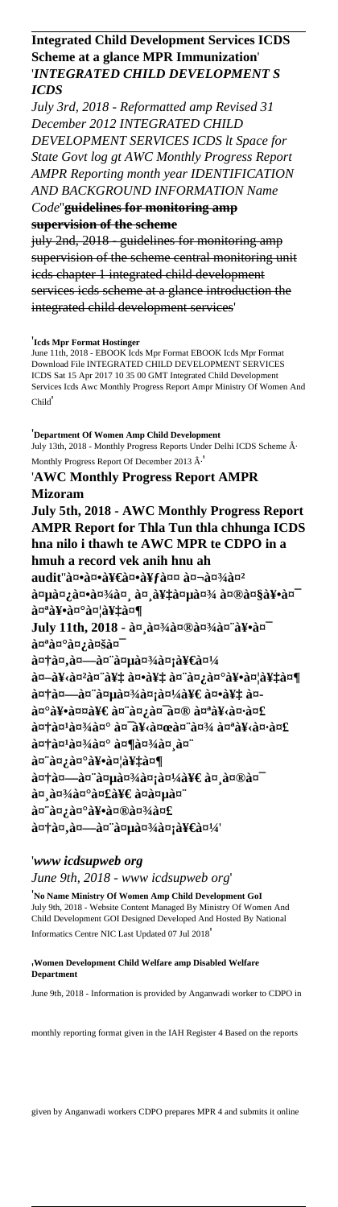## **Integrated Child Development Services ICDS Scheme at a glance MPR Immunization**' '*INTEGRATED CHILD DEVELOPMENT S ICDS*

*July 3rd, 2018 - Reformatted amp Revised 31 December 2012 INTEGRATED CHILD DEVELOPMENT SERVICES ICDS lt Space for State Govt log gt AWC Monthly Progress Report AMPR Reporting month year IDENTIFICATION AND BACKGROUND INFORMATION Name Code*''**guidelines for monitoring amp supervision of the scheme**

july 2nd, 2018 - guidelines for monitoring amp supervision of the scheme central monitoring unit icds chapter 1 integrated child development services icds scheme at a glance introduction the integrated child development services'

#### '**Icds Mpr Format Hostinger**

June 11th, 2018 - EBOOK Icds Mpr Format EBOOK Icds Mpr Format Download File INTEGRATED CHILD DEVELOPMENT SERVICES ICDS Sat 15 Apr 2017 10 35 00 GMT Integrated Child Development Services Icds Awc Monthly Progress Report Ampr Ministry Of Women And Child'

'**Department Of Women Amp Child Development** July 13th, 2018 - Monthly Progress Reports Under Delhi ICDS Scheme  $\hat{A}$ . Monthly Progress Report Of December 2013  $\hat{A}$ .

#### '**AWC Monthly Progress Report AMPR Mizoram**

**July 5th, 2018 - AWC Monthly Progress Report AMPR Report for Thla Tun thla chhunga ICDS hna nilo i thawh te AWC MPR te CDPO in a hmuh a record vek anih hnu ah** audit"ककीकà¥fत बाà¤<sup>2</sup>  $\lambda$ an an  $\lambda$ an an an an  $\lambda$ an an  $\lambda$ an an  $\lambda$ an an  $\lambda$ an an  $\lambda$ an an  $\lambda$ an an  $\lambda$ an an  $\lambda$ an an  $\lambda$ an an  $\lambda$ an an  $\lambda$ an an  $\lambda$ an an  $\lambda$ an an  $\lambda$ an an  $\lambda$ an an  $\lambda$ an an  $\lambda$ an an  $\lambda$ an an  $\lambda$ an an  $\lambda$ a a¤a¥•a¤°a¤¦a¥‡a¤¶ July 11th, 2018 - an an<sup>3</sup>/an®an<sup>3</sup>/an a¥•an a¤<sup>a</sup>a¤°a¤;a¤ša¤  $a^{\pi}$ an,  $a^{\pi}$ an,  $a^{\pi}$ an,  $a^{\pi}$ an,  $a^{\pi}$ an,  $a^{\pi}$ an,  $a^{\pi}$ an,  $a^{\pi}$ an,  $a^{\pi}$ an,  $a^{\pi}$ an,  $a^{\pi}$ an,  $a^{\pi}$ an,  $a^{\pi}$ an,  $a^{\pi}$ an,  $a^{\pi}$ an,  $a^{\pi}$ an,  $a^{\pi}$ an,  $a^{\pi}$ an,  $a^{\pi}$ an,  $a^{\pi}$ an,  $\mathbf{\hat{a}}$   $\mathbf{z}$   $\mathbf{\hat{a}}$   $\mathbf{\hat{x}}$   $\mathbf{\hat{a}}$   $\mathbf{\hat{x}}$   $\mathbf{\hat{a}}$   $\mathbf{\hat{x}}$   $\mathbf{\hat{a}}$   $\mathbf{\hat{x}}$   $\mathbf{\hat{b}}$   $\mathbf{\hat{x}}$   $\mathbf{\hat{b}}$   $\mathbf{\hat{x}}$   $\mathbf{\hat{b}}$   $\mathbf{\hat{x}}$   $\mathbf{\hat{b}}$   $\mathbf{\hat{x}}$   $\mathbf{\hat{b}}$   $\mathbf{\hat{x}}$   $\mathbf{\hat{b}}$  autau-au aupau aupau aupan aupan au- $\partial \alpha$ <sup>o</sup> $\partial \overline{Y}$ •  $\partial \alpha$  alleger  $\partial \alpha$  and  $\partial \alpha$  and  $\partial \alpha$  and  $\partial \alpha$  and  $\partial \alpha$  and  $\partial \alpha$  and  $\partial \alpha$  and  $\partial \alpha$  $\hat{a}$ u† $\hat{a}$ u<sup>3</sup>⁄4 $\hat{a}$ u $^{\circ}$   $\hat{a}$ u $^{\circ}$ a¥ $\hat{a}$ u $\hat{a}$ u $\hat{a}$ u $\hat{a}$ u $\hat{a}$ u $\hat{a}$ u $\hat{a}$ u $\hat{a}$ a¤†a¤<sup>1</sup>a¤<sup>3</sup>⁄aa¤° a¤¶a¤3⁄aa¤ a¤" a¤"a¤;a¤°a¥•a¤¦a¥‡a¤¶  $\hat{a}$ utam  $\hat{a}$ utam  $\hat{a}$ utam  $\hat{a}$ utam  $\hat{a}$ utam  $\hat{a}$ utam  $\hat{a}$ utam  $\hat{a}$ utam  $\hat{a}$ utam  $\hat{a}$ utam  $\hat{a}$ utam  $\hat{a}$ utam  $\hat{a}$ utam  $\hat{a}$ utam  $\hat{a}$ utam  $\hat{a}$ utam  $\hat{a}$ utam  $\hat{a}$ utam  $\hat{a$ a¤ a¤¾a¤°a¤£a¥€ a¤a¤µa¤¨ a¤`a¤;a¤°a¥•a¤®a¤¾a¤£ autau, au au au au au au au au au

#### '*www icdsupweb org*

*June 9th, 2018 - www icdsupweb org*'

'**No Name Ministry Of Women Amp Child Development GoI** July 9th, 2018 - Website Content Managed By Ministry Of Women And Child Development GOI Designed Developed And Hosted By National Informatics Centre NIC Last Updated 07 Jul 2018'

#### '**Women Development Child Welfare amp Disabled Welfare Department**

June 9th, 2018 - Information is provided by Anganwadi worker to CDPO in

monthly reporting format given in the IAH Register 4 Based on the reports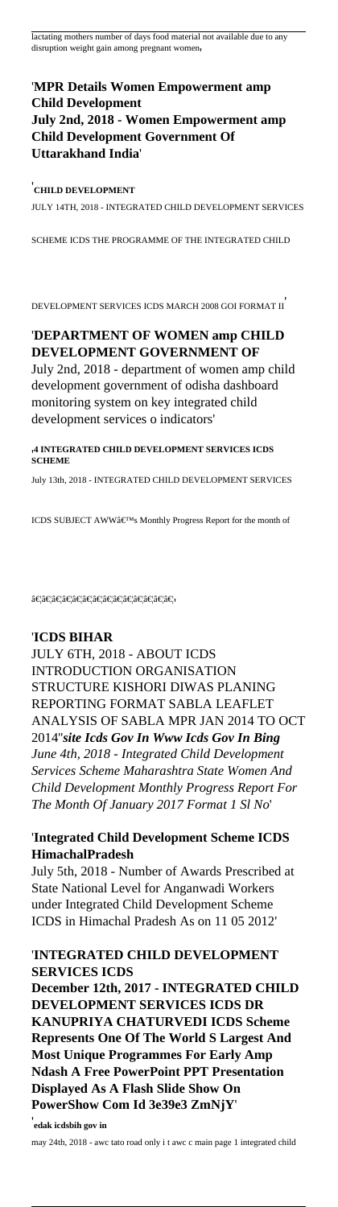lactating mothers number of days food material not available due to any disruption weight gain among pregnant women,

## '**MPR Details Women Empowerment amp Child Development July 2nd, 2018 - Women Empowerment amp Child Development Government Of Uttarakhand India**'

### '**CHILD DEVELOPMENT**

JULY 14TH, 2018 - INTEGRATED CHILD DEVELOPMENT SERVICES

SCHEME ICDS THE PROGRAMME OF THE INTEGRATED CHILD

DEVELOPMENT SERVICES ICDS MARCH 2008 GOI FORMAT II'

# '**DEPARTMENT OF WOMEN amp CHILD DEVELOPMENT GOVERNMENT OF**

July 2nd, 2018 - department of women amp child development government of odisha dashboard monitoring system on key integrated child development services o indicators'

#### '**4 INTEGRATED CHILD DEVELOPMENT SERVICES ICDS SCHEME**

July 13th, 2018 - INTEGRATED CHILD DEVELOPMENT SERVICES

ICDS SUBJECT AWW's Monthly Progress Report for the month of

 $\hat{a}\in\hat{a}\in\hat{a}\in\hat{a}\in\hat{a}\in\hat{a}\in\hat{a}\in\hat{a}\in\hat{a}\in\hat{a}\in\hat{a}\in\hat{a}\in\hat{a}$ 

## '**ICDS BIHAR**

JULY 6TH, 2018 - ABOUT ICDS INTRODUCTION ORGANISATION STRUCTURE KISHORI DIWAS PLANING REPORTING FORMAT SABLA LEAFLET ANALYSIS OF SABLA MPR JAN 2014 TO OCT 2014''*site Icds Gov In Www Icds Gov In Bing June 4th, 2018 - Integrated Child Development Services Scheme Maharashtra State Women And Child Development Monthly Progress Report For The Month Of January 2017 Format 1 Sl No*'

## '**Integrated Child Development Scheme ICDS HimachalPradesh**

July 5th, 2018 - Number of Awards Prescribed at State National Level for Anganwadi Workers under Integrated Child Development Scheme ICDS in Himachal Pradesh As on 11 05 2012'

## '**INTEGRATED CHILD DEVELOPMENT SERVICES ICDS**

**December 12th, 2017 - INTEGRATED CHILD DEVELOPMENT SERVICES ICDS DR KANUPRIYA CHATURVEDI ICDS Scheme Represents One Of The World S Largest And Most Unique Programmes For Early Amp Ndash A Free PowerPoint PPT Presentation Displayed As A Flash Slide Show On PowerShow Com Id 3e39e3 ZmNjY**'

'**edak icdsbih gov in** may 24th, 2018 - awc tato road only i t awc c main page 1 integrated child